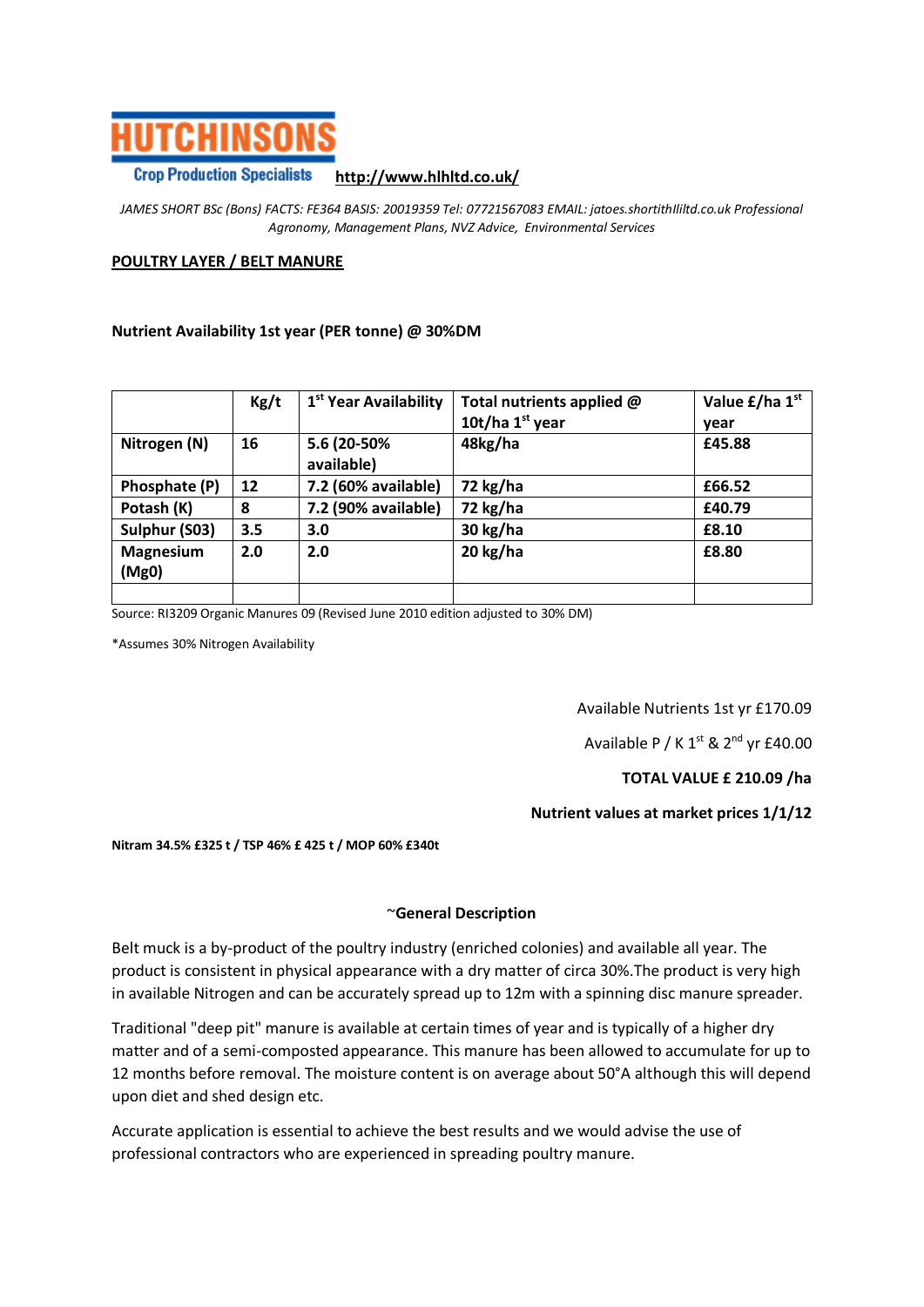

#### **Crop Production Specialists http://www.hlhltd.co.uk/**

*JAMES SHORT BSc (Bons) FACTS: FE364 BASIS: 20019359 Tel: 07721567083 EMAIL: jatoes.shortithIliltd.co.uk Professional Agronomy, Management Plans, NVZ Advice, Environmental Services*

### **POULTRY LAYER / BELT MANURE**

#### **Nutrient Availability 1st year (PER tonne) @ 30%DM**

|                           | Kg/t | 1 <sup>st</sup> Year Availability | Total nutrients applied @ | Value £/ha 1 <sup>st</sup> |
|---------------------------|------|-----------------------------------|---------------------------|----------------------------|
|                           |      |                                   | 10t/ha $1st$ year         | year                       |
| Nitrogen (N)              | 16   | 5.6 (20-50%<br>available)         | 48kg/ha                   | £45.88                     |
| Phosphate (P)             | 12   | 7.2 (60% available)               | 72 kg/ha                  | £66.52                     |
| Potash (K)                | 8    | 7.2 (90% available)               | 72 kg/ha                  | £40.79                     |
| Sulphur (S03)             | 3.5  | 3.0                               | 30 kg/ha                  | £8.10                      |
| <b>Magnesium</b><br>(Mg0) | 2.0  | 2.0                               | 20 kg/ha                  | £8.80                      |
|                           |      |                                   |                           |                            |

Source: RI3209 Organic Manures 09 (Revised June 2010 edition adjusted to 30% DM)

\*Assumes 30% Nitrogen Availability

Available Nutrients 1st yr £170.09

Available P / K  $1<sup>st</sup>$  &  $2<sup>nd</sup>$  yr £40.00

# **TOTAL VALUE £ 210.09 /ha**

# **Nutrient values at market prices 1/1/12**

#### **Nitram 34.5% £325 t / TSP 46% £ 425 t / MOP 60% £340t**

#### ~**General Description**

Belt muck is a by-product of the poultry industry (enriched colonies) and available all year. The product is consistent in physical appearance with a dry matter of circa 30%.The product is very high in available Nitrogen and can be accurately spread up to 12m with a spinning disc manure spreader.

Traditional "deep pit" manure is available at certain times of year and is typically of a higher dry matter and of a semi-composted appearance. This manure has been allowed to accumulate for up to 12 months before removal. The moisture content is on average about 50°A although this will depend upon diet and shed design etc.

Accurate application is essential to achieve the best results and we would advise the use of professional contractors who are experienced in spreading poultry manure.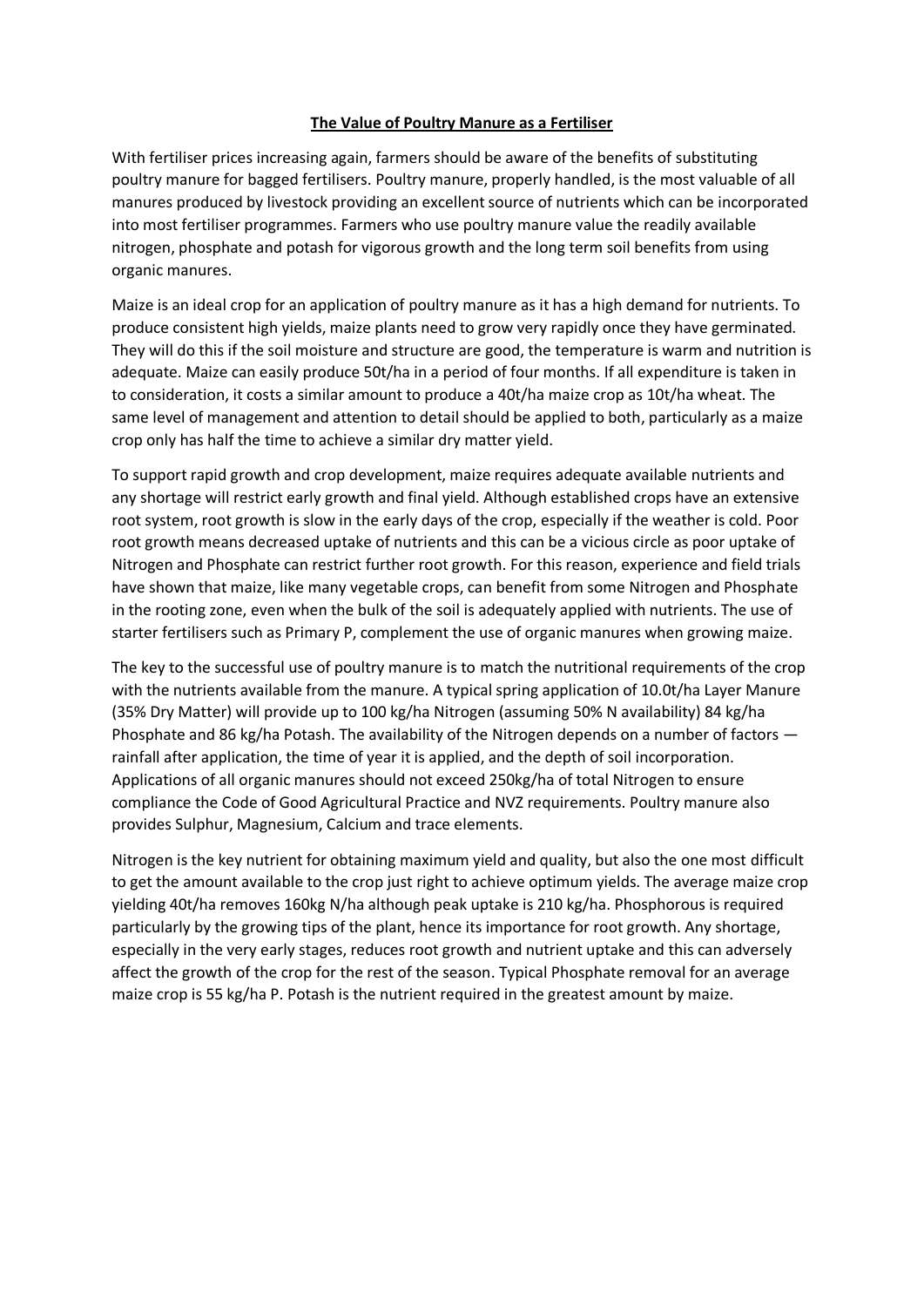# **The Value of Poultry Manure as a Fertiliser**

With fertiliser prices increasing again, farmers should be aware of the benefits of substituting poultry manure for bagged fertilisers. Poultry manure, properly handled, is the most valuable of all manures produced by livestock providing an excellent source of nutrients which can be incorporated into most fertiliser programmes. Farmers who use poultry manure value the readily available nitrogen, phosphate and potash for vigorous growth and the long term soil benefits from using organic manures.

Maize is an ideal crop for an application of poultry manure as it has a high demand for nutrients. To produce consistent high yields, maize plants need to grow very rapidly once they have germinated. They will do this if the soil moisture and structure are good, the temperature is warm and nutrition is adequate. Maize can easily produce 50t/ha in a period of four months. If all expenditure is taken in to consideration, it costs a similar amount to produce a 40t/ha maize crop as 10t/ha wheat. The same level of management and attention to detail should be applied to both, particularly as a maize crop only has half the time to achieve a similar dry matter yield.

To support rapid growth and crop development, maize requires adequate available nutrients and any shortage will restrict early growth and final yield. Although established crops have an extensive root system, root growth is slow in the early days of the crop, especially if the weather is cold. Poor root growth means decreased uptake of nutrients and this can be a vicious circle as poor uptake of Nitrogen and Phosphate can restrict further root growth. For this reason, experience and field trials have shown that maize, like many vegetable crops, can benefit from some Nitrogen and Phosphate in the rooting zone, even when the bulk of the soil is adequately applied with nutrients. The use of starter fertilisers such as Primary P, complement the use of organic manures when growing maize.

The key to the successful use of poultry manure is to match the nutritional requirements of the crop with the nutrients available from the manure. A typical spring application of 10.0t/ha Layer Manure (35% Dry Matter) will provide up to 100 kg/ha Nitrogen (assuming 50% N availability) 84 kg/ha Phosphate and 86 kg/ha Potash. The availability of the Nitrogen depends on a number of factors rainfall after application, the time of year it is applied, and the depth of soil incorporation. Applications of all organic manures should not exceed 250kg/ha of total Nitrogen to ensure compliance the Code of Good Agricultural Practice and NVZ requirements. Poultry manure also provides Sulphur, Magnesium, Calcium and trace elements.

Nitrogen is the key nutrient for obtaining maximum yield and quality, but also the one most difficult to get the amount available to the crop just right to achieve optimum yields. The average maize crop yielding 40t/ha removes 160kg N/ha although peak uptake is 210 kg/ha. Phosphorous is required particularly by the growing tips of the plant, hence its importance for root growth. Any shortage, especially in the very early stages, reduces root growth and nutrient uptake and this can adversely affect the growth of the crop for the rest of the season. Typical Phosphate removal for an average maize crop is 55 kg/ha P. Potash is the nutrient required in the greatest amount by maize.